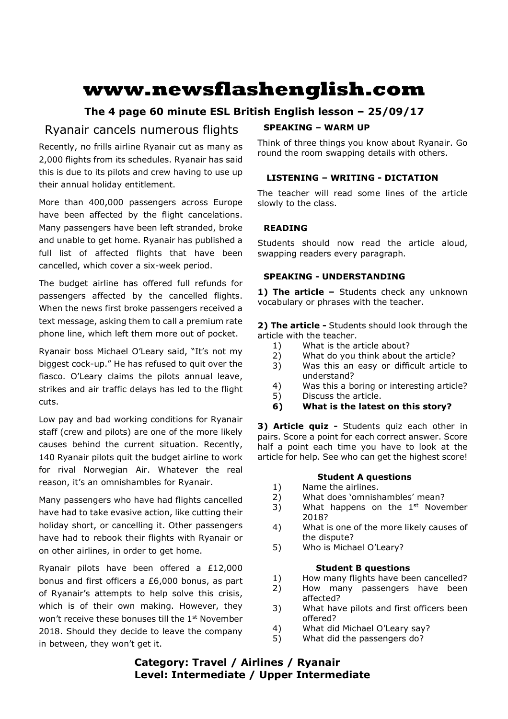# **www.newsflashenglish.com**

# **The 4 page 60 minute ESL British English lesson – 25/09/17**

# Ryanair cancels numerous flights

Recently, no frills airline Ryanair cut as many as 2,000 flights from its schedules. Ryanair has said this is due to its pilots and crew having to use up their annual holiday entitlement.

More than 400,000 passengers across Europe have been affected by the flight cancelations. Many passengers have been left stranded, broke and unable to get home. Ryanair has published a full list of affected flights that have been cancelled, which cover a six-week period.

The budget airline has offered full refunds for passengers affected by the cancelled flights. When the news first broke passengers received a text message, asking them to call a premium rate phone line, which left them more out of pocket.

Ryanair boss Michael O'Leary said, "It's not my biggest cock-up." He has refused to quit over the fiasco. O'Leary claims the pilots annual leave, strikes and air traffic delays has led to the flight cuts.

Low pay and bad working conditions for Ryanair staff (crew and pilots) are one of the more likely causes behind the current situation. Recently, 140 Ryanair pilots quit the budget airline to work for rival Norwegian Air. Whatever the real reason, it's an omnishambles for Ryanair.

Many passengers who have had flights cancelled have had to take evasive action, like cutting their holiday short, or cancelling it. Other passengers have had to rebook their flights with Ryanair or on other airlines, in order to get home.

Ryanair pilots have been offered a £12,000 bonus and first officers a £6,000 bonus, as part of Ryanair's attempts to help solve this crisis, which is of their own making. However, they won't receive these bonuses till the 1<sup>st</sup> November 2018. Should they decide to leave the company in between, they won't get it.

# **SPEAKING – WARM UP**

Think of three things you know about Ryanair. Go round the room swapping details with others.

# **LISTENING – WRITING - DICTATION**

The teacher will read some lines of the article slowly to the class.

# **READING**

Students should now read the article aloud, swapping readers every paragraph.

# **SPEAKING - UNDERSTANDING**

**1) The article –** Students check any unknown vocabulary or phrases with the teacher.

**2) The article -** Students should look through the article with the teacher.

- 1) What is the article about?
- 2) What do you think about the article?
- 3) Was this an easy or difficult article to understand?
- 4) Was this a boring or interesting article?
- 5) Discuss the article.
- **6) What is the latest on this story?**

**3) Article quiz -** Students quiz each other in pairs. Score a point for each correct answer. Score half a point each time you have to look at the article for help. See who can get the highest score!

### **Student A questions**

- 1) Name the airlines.
- 2) What does 'omnishambles' mean?
- 3) What happens on the  $1<sup>st</sup>$  November 2018?
- 4) What is one of the more likely causes of the dispute?
- 5) Who is Michael O'Leary?

### **Student B questions**

- 1) How many flights have been cancelled?
- 2) How many passengers have been affected?
- 3) What have pilots and first officers been offered?
- 4) What did Michael O'Leary say?
- 5) What did the passengers do?

# **Category: Travel / Airlines / Ryanair Level: Intermediate / Upper Intermediate**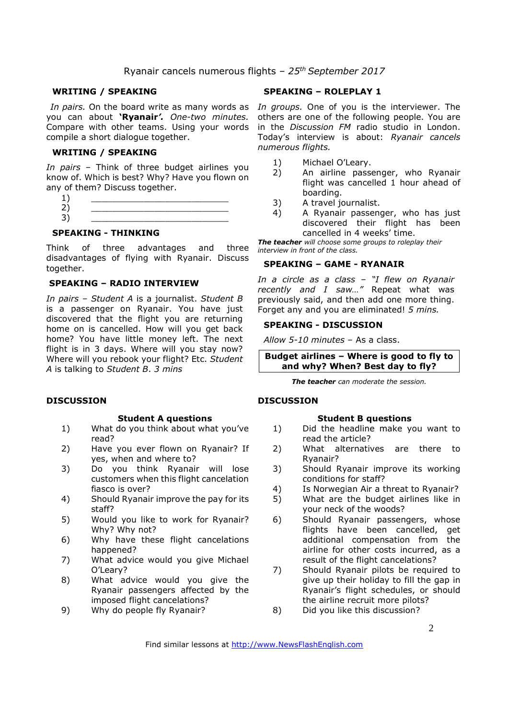#### **WRITING / SPEAKING**

you can about **'Ryanair***'. One-two minutes.*  Compare with other teams. Using your words compile a short dialogue together.

#### **WRITING / SPEAKING**

*In pairs* – Think of three budget airlines you know of. Which is best? Why? Have you flown on any of them? Discuss together.

| -- |
|----|
|    |
|    |

### **SPEAKING - THINKING**

Think of three advantages and three disadvantages of flying with Ryanair. Discuss together.

#### **SPEAKING – RADIO INTERVIEW**

*In pairs – Student A* is a journalist. *Student B* is a passenger on Ryanair. You have just discovered that the flight you are returning home on is cancelled. How will you get back home? You have little money left. The next flight is in 3 days. Where will you stay now? Where will you rebook your flight? Etc. *Student A* is talking to *Student B*. *3 mins* 

#### **DISCUSSION**

#### **Student A questions**

- 1) What do you think about what you've read?
- 2) Have you ever flown on Ryanair? If yes, when and where to?
- 3) Do you think Ryanair will lose customers when this flight cancelation fiasco is over?
- 4) Should Ryanair improve the pay for its staff?
- 5) Would you like to work for Ryanair? Why? Why not?
- 6) Why have these flight cancelations happened?
- 7) What advice would you give Michael O'Leary?
- 8) What advice would you give the Ryanair passengers affected by the imposed flight cancelations?
- 9) Why do people fly Ryanair?

#### **SPEAKING – ROLEPLAY 1**

In pairs. On the board write as many words as In groups. One of you is the interviewer. The others are one of the following people. You are in the *Discussion FM* radio studio in London. Today's interview is about: *Ryanair cancels numerous flights.*

- 1) Michael O'Leary.
- 2) An airline passenger, who Ryanair flight was cancelled 1 hour ahead of boarding.
- 3) A travel journalist.
- 4) A Ryanair passenger, who has just discovered their flight has been cancelled in 4 weeks' time.

*The teacher will choose some groups to roleplay their interview in front of the class.* 

#### **SPEAKING – GAME - RYANAIR**

*In a circle as a class – "I flew on Ryanair*  recently and I saw..." Repeat what was previously said, and then add one more thing. Forget any and you are eliminated! *5 mins.* 

#### **SPEAKING - DISCUSSION**

*Allow 5-10 minutes* – As a class.

**Budget airlines – Where is good to fly to and why? When? Best day to fly?** 

*The teacher can moderate the session.*

#### **DISCUSSION**

#### **Student B questions**

- 1) Did the headline make you want to read the article?
- 2) What alternatives are there to Ryanair?
- 3) Should Ryanair improve its working conditions for staff?
- 4) Is Norwegian Air a threat to Ryanair?
- 5) What are the budget airlines like in your neck of the woods?
- 6) Should Ryanair passengers, whose flights have been cancelled, get additional compensation from the airline for other costs incurred, as a result of the flight cancelations?
- 7) Should Ryanair pilots be required to give up their holiday to fill the gap in Ryanair's flight schedules, or should the airline recruit more pilots?
- 8) Did you like this discussion?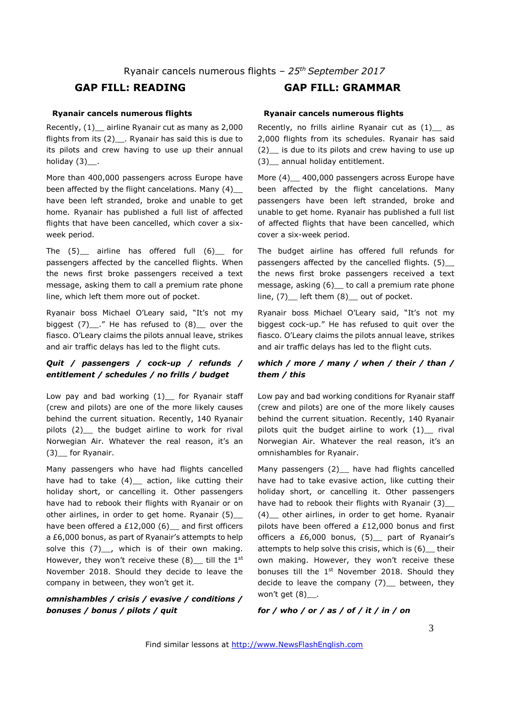# **GAP FILL: READING GAP FILL: GRAMMAR**

#### **Ryanair cancels numerous flights**

Recently, (1)\_\_ airline Ryanair cut as many as 2,000 flights from its  $(2)$ . Ryanair has said this is due to its pilots and crew having to use up their annual holiday  $(3)$ \_\_.

More than 400,000 passengers across Europe have been affected by the flight cancelations. Many (4)\_\_ have been left stranded, broke and unable to get home. Ryanair has published a full list of affected flights that have been cancelled, which cover a sixweek period.

The (5) airline has offered full (6) for passengers affected by the cancelled flights. When the news first broke passengers received a text message, asking them to call a premium rate phone line, which left them more out of pocket.

Ryanair boss Michael O'Leary said, "It's not my biggest  $(7)$  ." He has refused to  $(8)$  over the fiasco. O'Leary claims the pilots annual leave, strikes and air traffic delays has led to the flight cuts.

#### *Quit / passengers / cock-up / refunds / entitlement / schedules / no frills / budget*

Low pay and bad working (1)\_ for Ryanair staff (crew and pilots) are one of the more likely causes behind the current situation. Recently, 140 Ryanair pilots (2)\_\_ the budget airline to work for rival Norwegian Air. Whatever the real reason, it's an (3)\_\_ for Ryanair.

Many passengers who have had flights cancelled have had to take  $(4)$  action, like cutting their holiday short, or cancelling it. Other passengers have had to rebook their flights with Ryanair or on other airlines, in order to get home. Ryanair (5)\_ have been offered a £12,000 (6) and first officers a £6,000 bonus, as part of Ryanair's attempts to help solve this  $(7)$ , which is of their own making. However, they won't receive these  $(8)$  till the 1<sup>st</sup> November 2018. Should they decide to leave the company in between, they won't get it.

#### *omnishambles / crisis / evasive / conditions / bonuses / bonus / pilots / quit*

# **Ryanair cancels numerous flights**

Recently, no frills airline Ryanair cut as (1)\_\_ as 2,000 flights from its schedules. Ryanair has said (2)\_\_ is due to its pilots and crew having to use up (3)\_\_ annual holiday entitlement.

More (4) \_\_ 400,000 passengers across Europe have been affected by the flight cancelations. Many passengers have been left stranded, broke and unable to get home. Ryanair has published a full list of affected flights that have been cancelled, which cover a six-week period.

The budget airline has offered full refunds for passengers affected by the cancelled flights. (5)\_ the news first broke passengers received a text message, asking (6) to call a premium rate phone line,  $(7)$  left them  $(8)$  out of pocket.

Ryanair boss Michael O'Leary said, "It's not my biggest cock-up." He has refused to quit over the fiasco. O'Leary claims the pilots annual leave, strikes and air traffic delays has led to the flight cuts.

### *which / more / many / when / their / than / them / this*

Low pay and bad working conditions for Ryanair staff (crew and pilots) are one of the more likely causes behind the current situation. Recently, 140 Ryanair pilots quit the budget airline to work  $(1)$  rival Norwegian Air. Whatever the real reason, it's an omnishambles for Ryanair.

Many passengers (2) have had flights cancelled have had to take evasive action, like cutting their holiday short, or cancelling it. Other passengers have had to rebook their flights with Ryanair (3) (4)\_\_ other airlines, in order to get home. Ryanair pilots have been offered a £12,000 bonus and first officers a £6,000 bonus, (5) part of Ryanair's attempts to help solve this crisis, which is (6)\_\_ their own making. However, they won't receive these bonuses till the 1<sup>st</sup> November 2018. Should they decide to leave the company (7)\_ between, they won't get  $(8)$ .

*for / who / or / as / of / it / in / on*